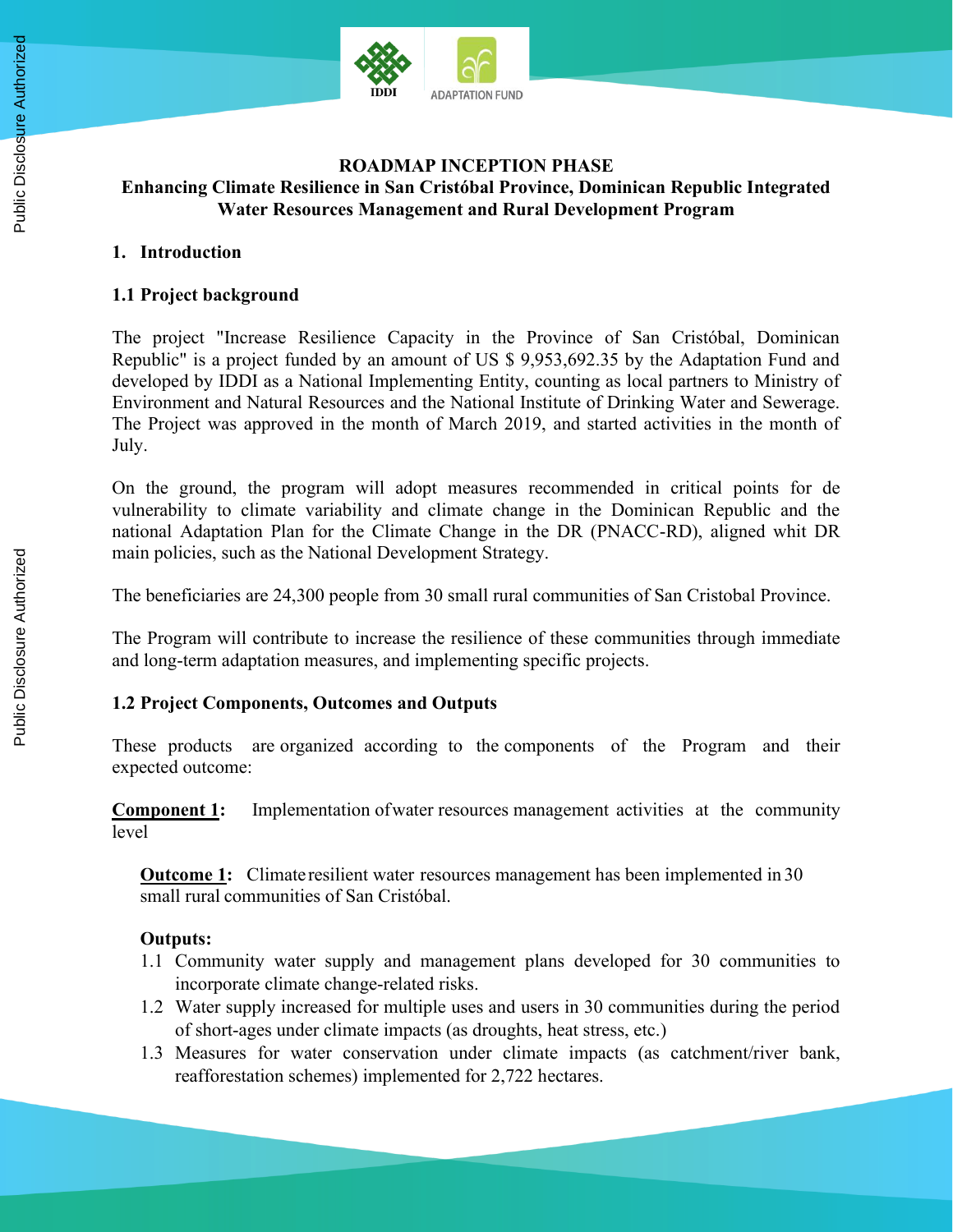

# **ROADMAP INCEPTION PHASE Enhancing Climate Resilience in San Cristóbal Province, Dominican Republic Integrated Water Resources Management and Rural Development Program**

#### **1. Introduction**

# **1.1 Project background**

The project "Increase Resilience Capacity in the Province of San Cristóbal, Dominican Republic" is a project funded by an amount of US \$ 9,953,692.35 by the Adaptation Fund and developed by IDDI as a National Implementing Entity, counting as local partners to Ministry of Environment and Natural Resources and the National Institute of Drinking Water and Sewerage. The Project was approved in the month of March 2019, and started activities in the month of July.

On the ground, the program will adopt measures recommended in critical points for de vulnerability to climate variability and climate change in the Dominican Republic and the national Adaptation Plan for the Climate Change in the DR (PNACC-RD), aligned whit DR main policies, such as the National Development Strategy.

The beneficiaries are 24,300 people from 30 small rural communities of San Cristobal Province.

The Program will contribute to increase the resilience of these communities through immediate and long-term adaptation measures, and implementing specific projects.

# **1.2 Project Components, Outcomes and Outputs**

These products are organized according to the components of the Program and their expected outcome:

**Component 1:** Implementation of water resources management activities at the community level

**Outcome 1:** Climate resilient water resources management has been implemented in 30 small rural communities of San Cristóbal.

# **Outputs:**

- 1.1 Community water supply and management plans developed for 30 communities to incorporate climate change-related risks.
- 1.2 Water supply increased for multiple uses and users in 30 communities during the period of short-ages under climate impacts (as droughts, heat stress, etc.)
- 1.3 Measures for water conservation under climate impacts (as catchment/river bank, reafforestation schemes) implemented for 2,722 hectares.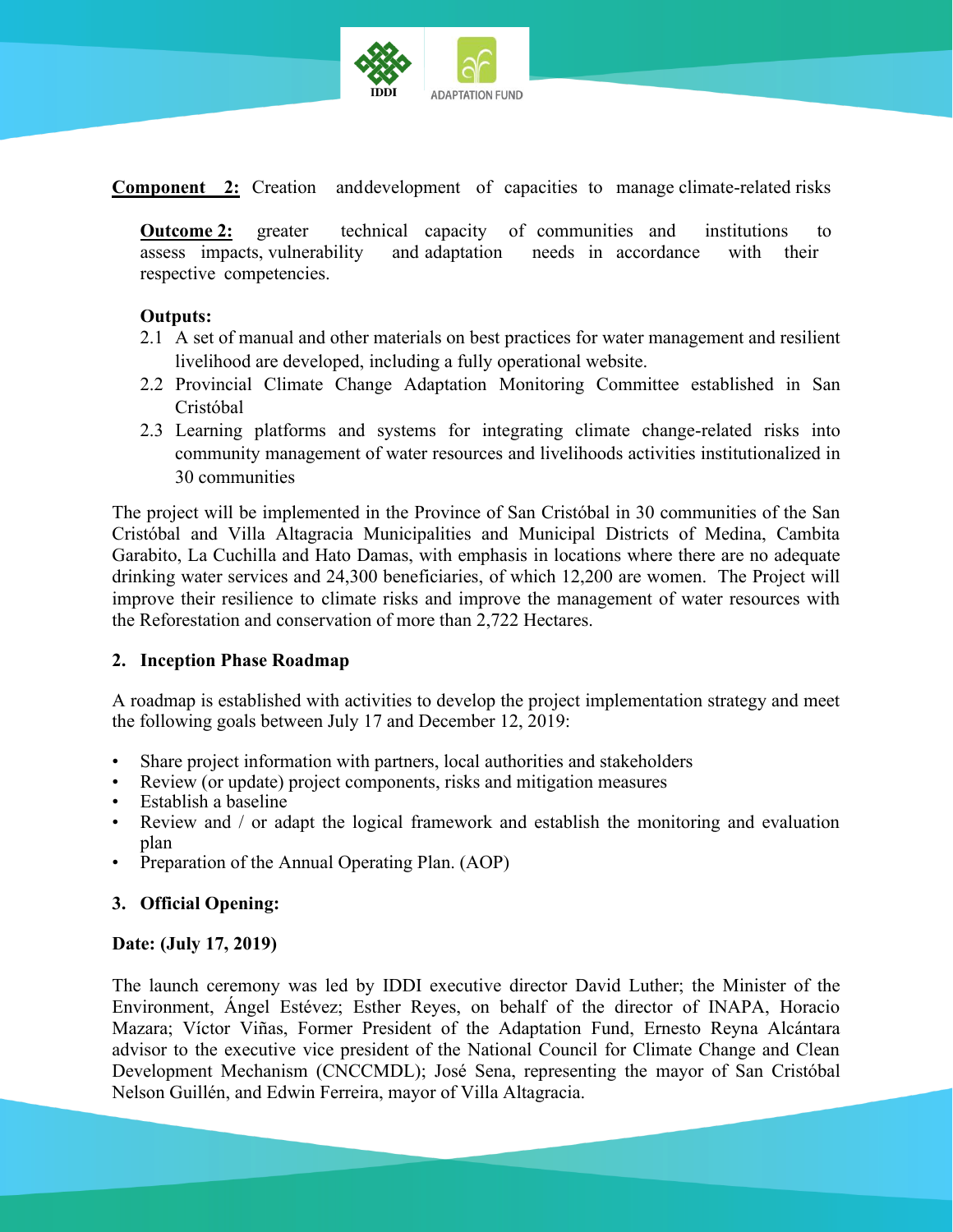

**Component 2:** Creation anddevelopment of capacities to manage climate-related risks

**Outcome 2:** greater technical capacity of communities and institutions to assess impacts, vulnerability and adaptation needs in accordance with their respective competencies.

#### **Outputs:**

- 2.1 A set of manual and other materials on best practices for water management and resilient livelihood are developed, including a fully operational website.
- 2.2 Provincial Climate Change Adaptation Monitoring Committee established in San Cristóbal
- 2.3 Learning platforms and systems for integrating climate change-related risks into community management of water resources and livelihoods activities institutionalized in 30 communities

The project will be implemented in the Province of San Cristóbal in 30 communities of the San Cristóbal and Villa Altagracia Municipalities and Municipal Districts of Medina, Cambita Garabito, La Cuchilla and Hato Damas, with emphasis in locations where there are no adequate drinking water services and 24,300 beneficiaries, of which 12,200 are women. The Project will improve their resilience to climate risks and improve the management of water resources with the Reforestation and conservation of more than 2,722 Hectares.

#### **2. Inception Phase Roadmap**

A roadmap is established with activities to develop the project implementation strategy and meet the following goals between July 17 and December 12, 2019:

- Share project information with partners, local authorities and stakeholders
- Review (or update) project components, risks and mitigation measures
- Establish a baseline
- Review and / or adapt the logical framework and establish the monitoring and evaluation plan
- Preparation of the Annual Operating Plan. (AOP)

# **3. Official Opening:**

#### **Date: (July 17, 2019)**

The launch ceremony was led by IDDI executive director David Luther; the Minister of the Environment, Ángel Estévez; Esther Reyes, on behalf of the director of INAPA, Horacio Mazara; Víctor Viñas, Former President of the Adaptation Fund, Ernesto Reyna Alcántara advisor to the executive vice president of the National Council for Climate Change and Clean Development Mechanism (CNCCMDL); José Sena, representing the mayor of San Cristóbal Nelson Guillén, and Edwin Ferreira, mayor of Villa Altagracia.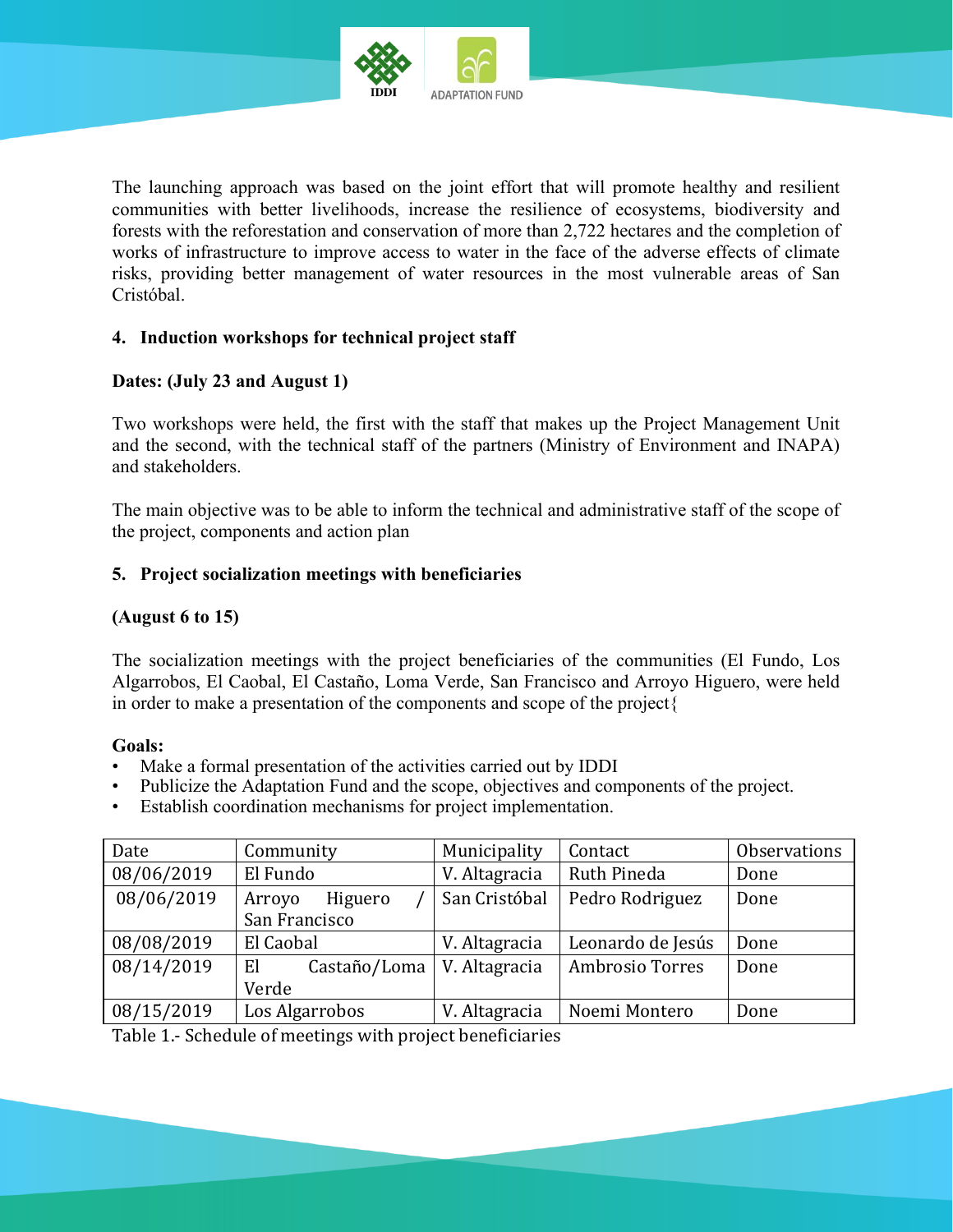

The launching approach was based on the joint effort that will promote healthy and resilient communities with better livelihoods, increase the resilience of ecosystems, biodiversity and forests with the reforestation and conservation of more than 2,722 hectares and the completion of works of infrastructure to improve access to water in the face of the adverse effects of climate risks, providing better management of water resources in the most vulnerable areas of San Cristóbal.

#### **4. Induction workshops for technical project staff**

#### **Dates: (July 23 and August 1)**

Two workshops were held, the first with the staff that makes up the Project Management Unit and the second, with the technical staff of the partners (Ministry of Environment and INAPA) and stakeholders.

The main objective was to be able to inform the technical and administrative staff of the scope of the project, components and action plan

#### **5. Project socialization meetings with beneficiaries**

#### **(August 6 to 15)**

The socialization meetings with the project beneficiaries of the communities (El Fundo, Los Algarrobos, El Caobal, El Castaño, Loma Verde, San Francisco and Arroyo Higuero, were held in order to make a presentation of the components and scope of the project{

#### **Goals:**

- Make a formal presentation of the activities carried out by IDDI
- Publicize the Adaptation Fund and the scope, objectives and components of the project.
- Establish coordination mechanisms for project implementation.

| Date       | Community          | Municipality  | Contact           | Observations |
|------------|--------------------|---------------|-------------------|--------------|
| 08/06/2019 | El Fundo           | V. Altagracia | Ruth Pineda       | Done         |
| 08/06/2019 | Higuero<br>Arroyo  | San Cristóbal | Pedro Rodriguez   | Done         |
|            | San Francisco      |               |                   |              |
| 08/08/2019 | El Caobal          | V. Altagracia | Leonardo de Jesús | Done         |
| 08/14/2019 | El<br>Castaño/Loma | V. Altagracia | Ambrosio Torres   | Done         |
|            | Verde              |               |                   |              |
| 08/15/2019 | Los Algarrobos     | V. Altagracia | Noemi Montero     | Done         |

Table 1.- Schedule of meetings with project beneficiaries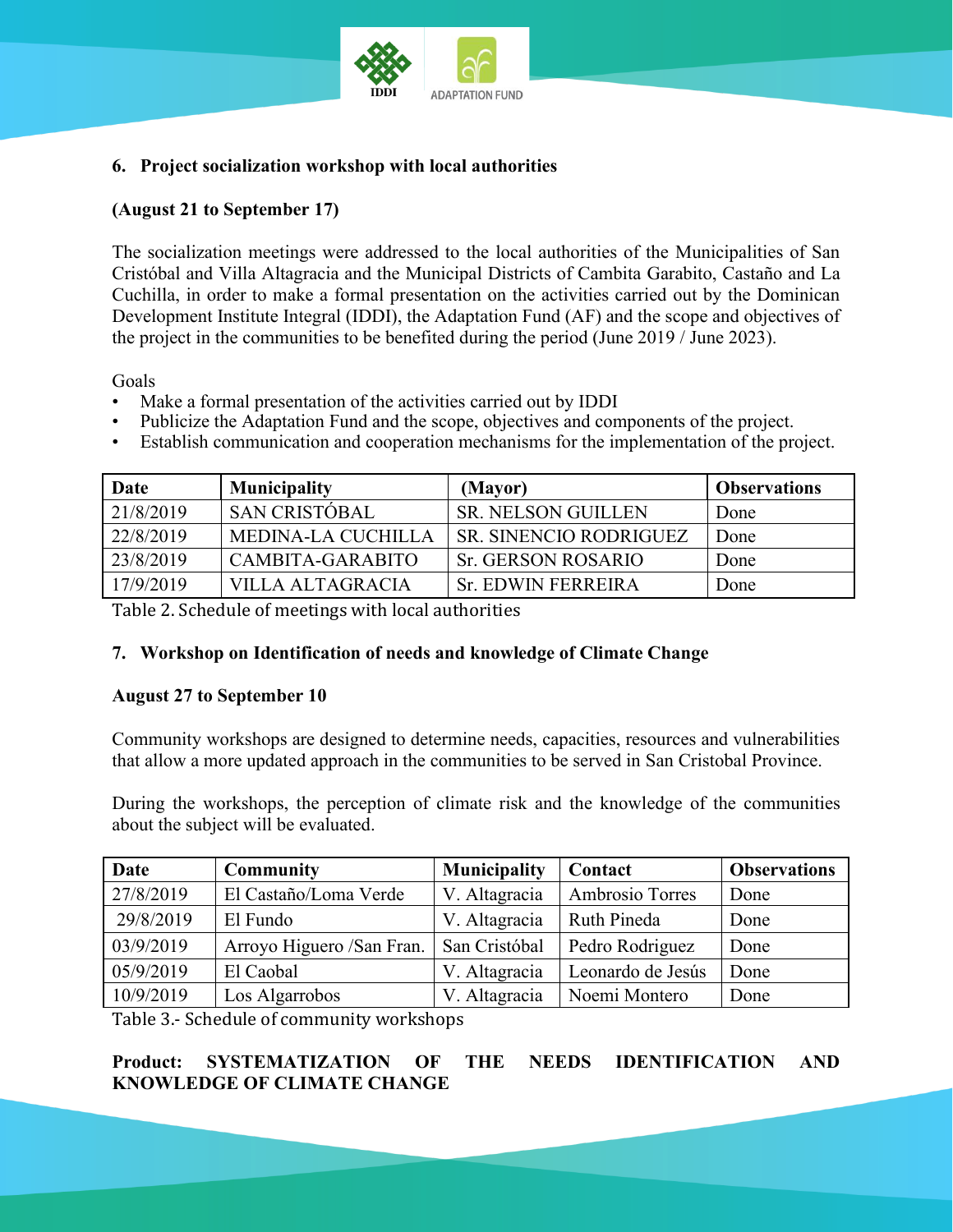

# **6. Project socialization workshop with local authorities**

# **(August 21 to September 17)**

The socialization meetings were addressed to the local authorities of the Municipalities of San Cristóbal and Villa Altagracia and the Municipal Districts of Cambita Garabito, Castaño and La Cuchilla, in order to make a formal presentation on the activities carried out by the Dominican Development Institute Integral (IDDI), the Adaptation Fund (AF) and the scope and objectives of the project in the communities to be benefited during the period (June 2019 / June 2023).

Goals

- Make a formal presentation of the activities carried out by IDDI
- Publicize the Adaptation Fund and the scope, objectives and components of the project.
- Establish communication and cooperation mechanisms for the implementation of the project.

| <b>Date</b> | <b>Municipality</b>  | (Mayor)                       | <b>Observations</b> |
|-------------|----------------------|-------------------------------|---------------------|
| 21/8/2019   | <b>SAN CRISTÓBAL</b> | <b>SR. NELSON GUILLEN</b>     | Done                |
| 22/8/2019   | MEDINA-LA CUCHILLA   | <b>SR. SINENCIO RODRIGUEZ</b> | Done                |
| 23/8/2019   | CAMBITA-GARABITO     | <b>Sr. GERSON ROSARIO</b>     | Done                |
| 17/9/2019   | VILLA ALTAGRACIA     | <b>Sr. EDWIN FERREIRA</b>     | Done                |

Table 2. Schedule of meetings with local authorities

# **7. Workshop on Identification of needs and knowledge of Climate Change**

#### **August 27 to September 10**

Community workshops are designed to determine needs, capacities, resources and vulnerabilities that allow a more updated approach in the communities to be served in San Cristobal Province.

During the workshops, the perception of climate risk and the knowledge of the communities about the subject will be evaluated.

| Date      | <b>Community</b>          | <b>Municipality</b> | Contact           | <b>Observations</b> |
|-----------|---------------------------|---------------------|-------------------|---------------------|
| 27/8/2019 | El Castaño/Loma Verde     | V. Altagracia       | Ambrosio Torres   | Done                |
| 29/8/2019 | El Fundo                  | V. Altagracia       | Ruth Pineda       | Done                |
| 03/9/2019 | Arroyo Higuero /San Fran. | San Cristóbal       | Pedro Rodriguez   | Done                |
| 05/9/2019 | El Caobal                 | V. Altagracia       | Leonardo de Jesús | Done                |
| 10/9/2019 | Los Algarrobos            | V. Altagracia       | Noemi Montero     | Done                |

Table 3.- Schedule of community workshops

**Product: SYSTEMATIZATION OF THE NEEDS IDENTIFICATION AND KNOWLEDGE OF CLIMATE CHANGE**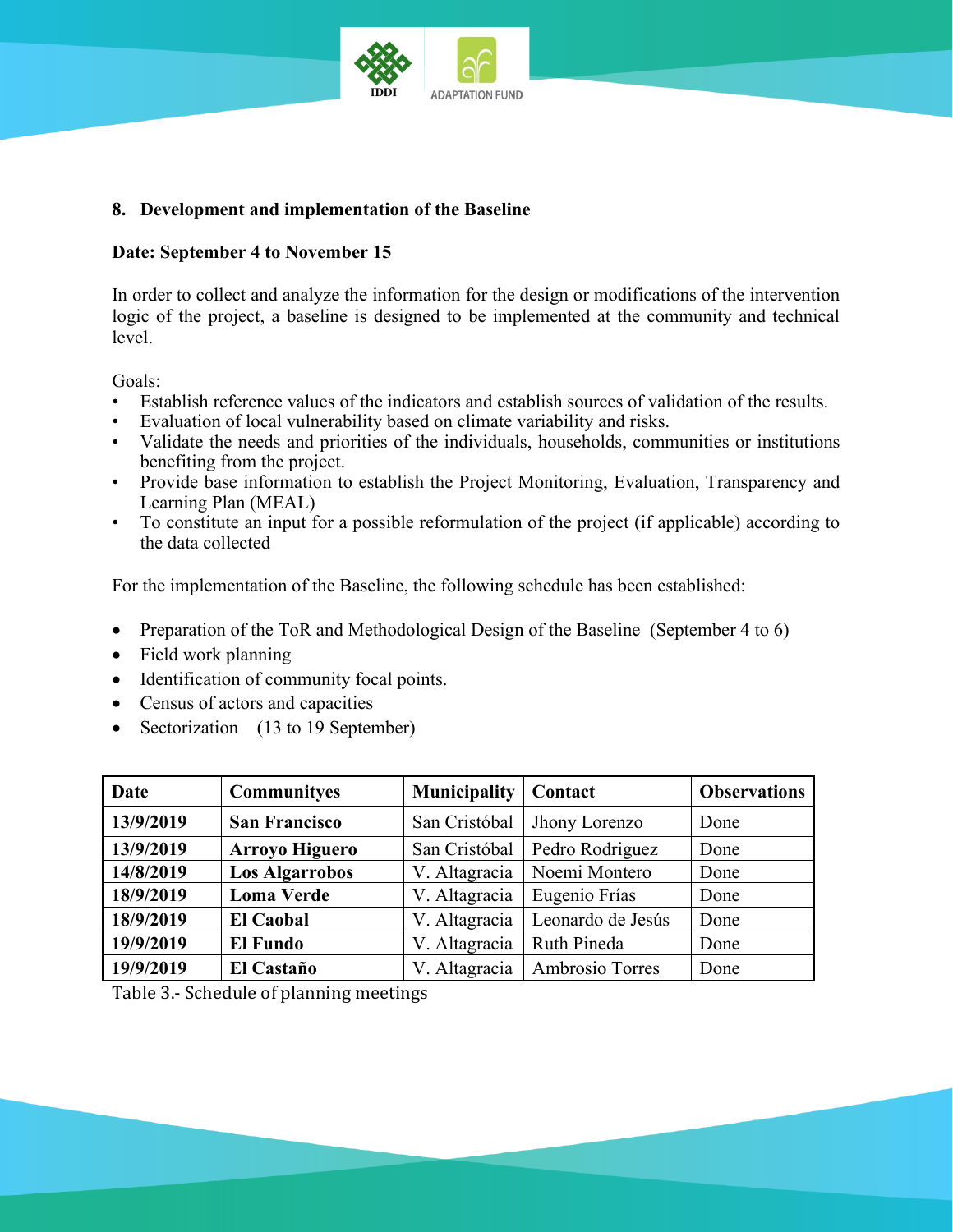

# **8. Development and implementation of the Baseline**

#### **Date: September 4 to November 15**

In order to collect and analyze the information for the design or modifications of the intervention logic of the project, a baseline is designed to be implemented at the community and technical level.

Goals:

- Establish reference values of the indicators and establish sources of validation of the results.
- Evaluation of local vulnerability based on climate variability and risks.
- Validate the needs and priorities of the individuals, households, communities or institutions benefiting from the project.
- Provide base information to establish the Project Monitoring, Evaluation, Transparency and Learning Plan (MEAL)
- To constitute an input for a possible reformulation of the project (if applicable) according to the data collected

For the implementation of the Baseline, the following schedule has been established:

- Preparation of the ToR and Methodological Design of the Baseline (September 4 to 6)
- Field work planning
- Identification of community focal points.
- Census of actors and capacities
- Sectorization (13 to 19 September)

| Date      | Communityes           | <b>Municipality</b> | Contact           | <b>Observations</b> |
|-----------|-----------------------|---------------------|-------------------|---------------------|
| 13/9/2019 | <b>San Francisco</b>  | San Cristóbal       | Jhony Lorenzo     | Done                |
| 13/9/2019 | <b>Arroyo Higuero</b> | San Cristóbal       | Pedro Rodriguez   | Done                |
| 14/8/2019 | <b>Los Algarrobos</b> | V. Altagracia       | Noemi Montero     | Done                |
| 18/9/2019 | <b>Loma Verde</b>     | V. Altagracia       | Eugenio Frías     | Done                |
| 18/9/2019 | <b>El Caobal</b>      | V. Altagracia       | Leonardo de Jesús | Done                |
| 19/9/2019 | <b>El Fundo</b>       | V. Altagracia       | Ruth Pineda       | Done                |
| 19/9/2019 | El Castaño            | V. Altagracia       | Ambrosio Torres   | Done                |

Table 3.- Schedule of planning meetings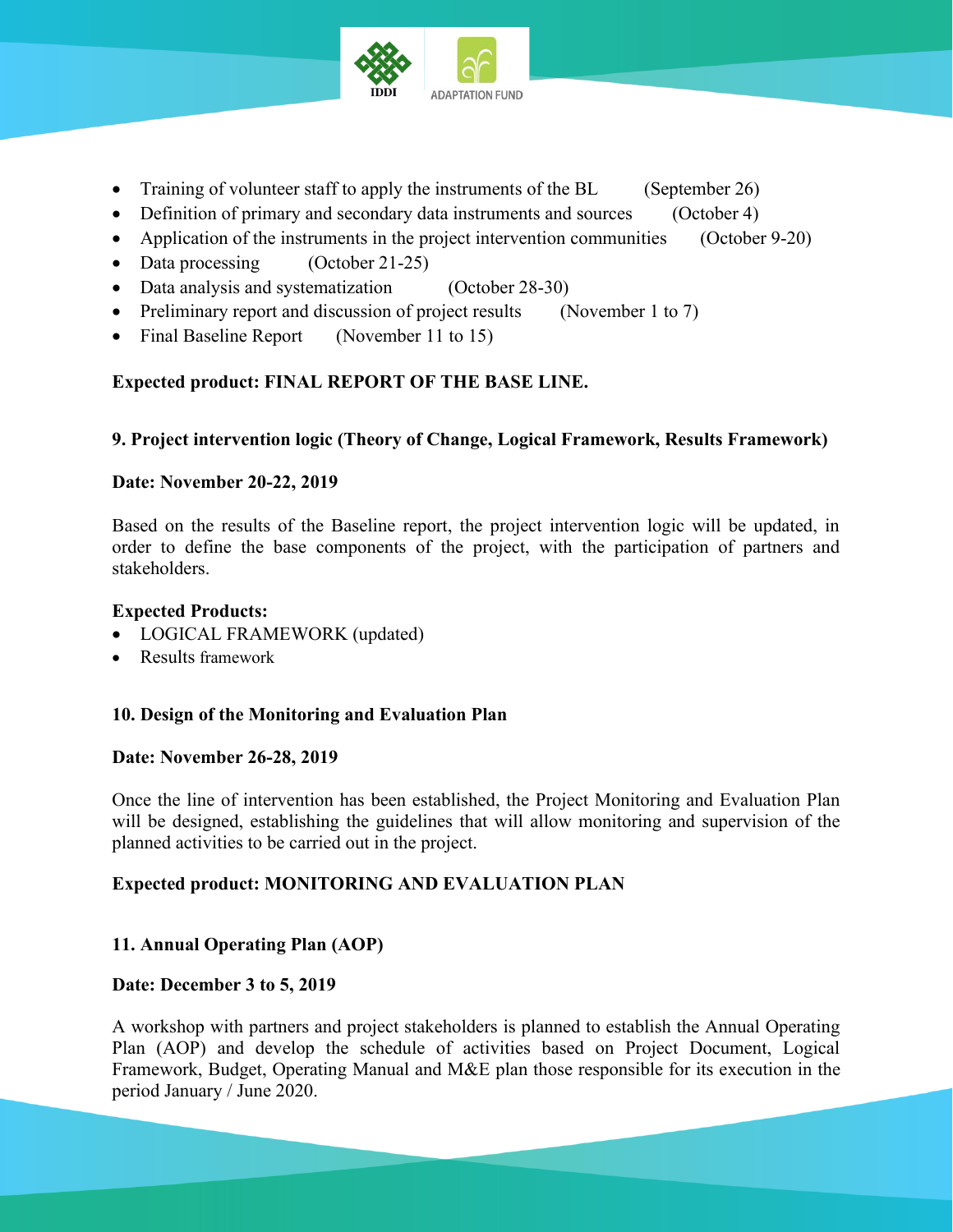

- Training of volunteer staff to apply the instruments of the BL (September 26)
- Definition of primary and secondary data instruments and sources (October 4)
- Application of the instruments in the project intervention communities (October 9-20)
- Data processing (October 21-25)
- Data analysis and systematization (October 28-30)
- Preliminary report and discussion of project results (November 1 to 7)
- Final Baseline Report (November 11 to 15)

# **Expected product: FINAL REPORT OF THE BASE LINE.**

# **9. Project intervention logic (Theory of Change, Logical Framework, Results Framework)**

#### **Date: November 20-22, 2019**

Based on the results of the Baseline report, the project intervention logic will be updated, in order to define the base components of the project, with the participation of partners and stakeholders.

#### **Expected Products:**

- LOGICAL FRAMEWORK (updated)
- Results framework

# **10. Design of the Monitoring and Evaluation Plan**

#### **Date: November 26-28, 2019**

Once the line of intervention has been established, the Project Monitoring and Evaluation Plan will be designed, establishing the guidelines that will allow monitoring and supervision of the planned activities to be carried out in the project.

# **Expected product: MONITORING AND EVALUATION PLAN**

# **11. Annual Operating Plan (AOP)**

# **Date: December 3 to 5, 2019**

A workshop with partners and project stakeholders is planned to establish the Annual Operating Plan (AOP) and develop the schedule of activities based on Project Document, Logical Framework, Budget, Operating Manual and M&E plan those responsible for its execution in the period January / June 2020.